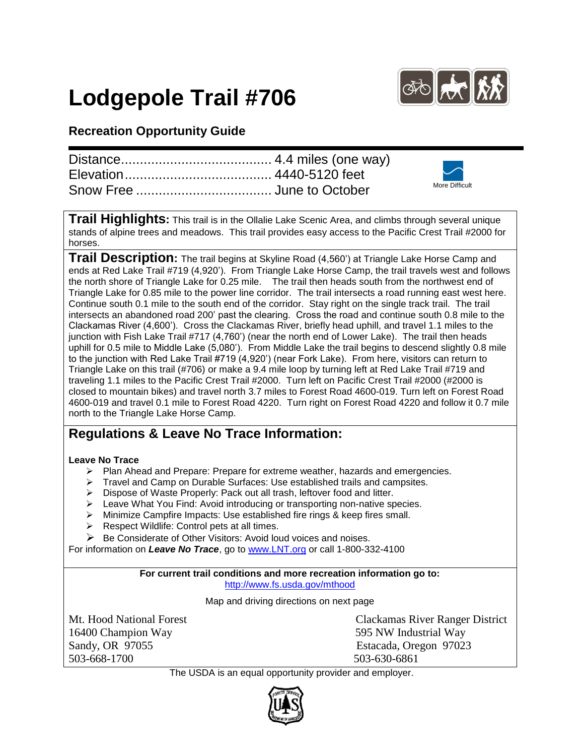# **Lodgepole Trail #706**



### **Recreation Opportunity Guide**

|  | More Difficult |
|--|----------------|

**Trail Highlights:** This trail is in the Ollalie Lake Scenic Area, and climbs through several unique stands of alpine trees and meadows. This trail provides easy access to the Pacific Crest Trail #2000 for horses.

**Trail Description:** The trail begins at Skyline Road (4,560') at Triangle Lake Horse Camp and ends at Red Lake Trail #719 (4,920'). From Triangle Lake Horse Camp, the trail travels west and follows the north shore of Triangle Lake for 0.25 mile. The trail then heads south from the northwest end of Triangle Lake for 0.85 mile to the power line corridor. The trail intersects a road running east west here. Continue south 0.1 mile to the south end of the corridor. Stay right on the single track trail. The trail intersects an abandoned road 200' past the clearing. Cross the road and continue south 0.8 mile to the Clackamas River (4,600'). Cross the Clackamas River, briefly head uphill, and travel 1.1 miles to the junction with Fish Lake Trail #717 (4,760') (near the north end of Lower Lake). The trail then heads uphill for 0.5 mile to Middle Lake (5,080'). From Middle Lake the trail begins to descend slightly 0.8 mile to the junction with Red Lake Trail #719 (4,920') (near Fork Lake). From here, visitors can return to Triangle Lake on this trail (#706) or make a 9.4 mile loop by turning left at Red Lake Trail #719 and traveling 1.1 miles to the Pacific Crest Trail #2000. Turn left on Pacific Crest Trail #2000 (#2000 is closed to mountain bikes) and travel north 3.7 miles to Forest Road 4600-019. Turn left on Forest Road 4600-019 and travel 0.1 mile to Forest Road 4220. Turn right on Forest Road 4220 and follow it 0.7 mile north to the Triangle Lake Horse Camp.

## **Regulations & Leave No Trace Information:**

#### **Leave No Trace**

- $\triangleright$  Plan Ahead and Prepare: Prepare for extreme weather, hazards and emergencies.
- $\triangleright$  Travel and Camp on Durable Surfaces: Use established trails and campsites.
- Dispose of Waste Properly: Pack out all trash, leftover food and litter.
- > Leave What You Find: Avoid introducing or transporting non-native species.
- > Minimize Campfire Impacts: Use established fire rings & keep fires small.
- $\triangleright$  Respect Wildlife: Control pets at all times.
- $\triangleright$  Be Considerate of Other Visitors: Avoid loud voices and noises.

For information on *Leave No Trace*, go to [www.LNT.org](http://www.lnt.org/) or call 1-800-332-4100

#### **For current trail conditions and more recreation information go to:** <http://www.fs.usda.gov/mthood>

Map and driving directions on next page

16400 Champion Way 595 NW Industrial Way Sandy, OR 97055 Estacada, Oregon 97023 503-668-1700 503-630-6861

Mt. Hood National Forest Clackamas River Ranger District

The USDA is an equal opportunity provider and employer.